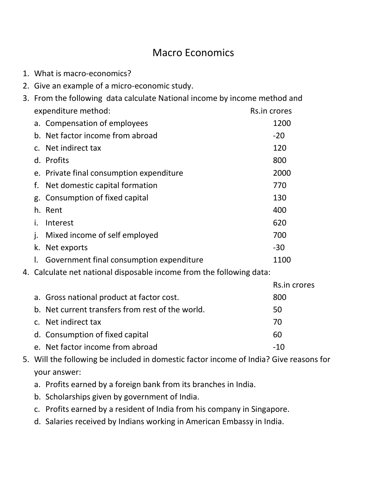## Macro Economics

- 1. What is macro-economics?
- 2. Give an example of a micro-economic study.

| 3. From the following data calculate National income by income method and |                                                                      |              |
|---------------------------------------------------------------------------|----------------------------------------------------------------------|--------------|
|                                                                           | expenditure method:                                                  | Rs.in crores |
|                                                                           | a. Compensation of employees                                         | 1200         |
|                                                                           | b. Net factor income from abroad                                     | $-20$        |
|                                                                           | c. Net indirect tax                                                  | 120          |
|                                                                           | d. Profits                                                           | 800          |
|                                                                           | e. Private final consumption expenditure                             | 2000         |
| f.                                                                        | Net domestic capital formation                                       | 770          |
| g.                                                                        | Consumption of fixed capital                                         | 130          |
|                                                                           | h. Rent                                                              | 400          |
| i.                                                                        | Interest                                                             | 620          |
|                                                                           | Mixed income of self employed                                        | 700          |
| k.                                                                        | Net exports                                                          | $-30$        |
|                                                                           | Government final consumption expenditure                             | 1100         |
|                                                                           | 4. Calculate net national disposable income from the following data: |              |
|                                                                           |                                                                      | Rs.in crores |
|                                                                           | a. Gross national product at factor cost.                            | 800          |
|                                                                           | b. Net current transfers from rest of the world.                     | 50           |
| $C_{\cdot}$                                                               | Net indirect tax                                                     | 70           |
|                                                                           | d. Consumption of fixed capital                                      | 60           |

- e. Net factor income from abroad example  $-10$
- 5. Will the following be included in domestic factor income of India? Give reasons for your answer:
	- a. Profits earned by a foreign bank from its branches in India.
	- b. Scholarships given by government of India.
	- c. Profits earned by a resident of India from his company in Singapore.
	- d. Salaries received by Indians working in American Embassy in India.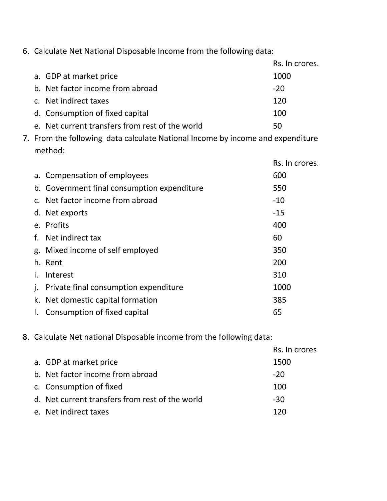6. Calculate Net National Disposable Income from the following data:

|                                                 | Rs. In crores. |
|-------------------------------------------------|----------------|
| a. GDP at market price                          | 1000           |
| b. Net factor income from abroad                | $-20$          |
| c. Net indirect taxes                           | 120            |
| d. Consumption of fixed capital                 | 100            |
| e. Net current transfers from rest of the world | 50             |

7. From the following data calculate National Income by income and expenditure method:

|    |                                             | Rs. In crores. |
|----|---------------------------------------------|----------------|
|    | a. Compensation of employees                | 600            |
|    | b. Government final consumption expenditure | 550            |
|    | c. Net factor income from abroad            | $-10$          |
|    | d. Net exports                              | $-15$          |
|    | e. Profits                                  | 400            |
| f. | Net indirect tax                            | 60             |
|    | g. Mixed income of self employed            | 350            |
|    | h. Rent                                     | 200            |
|    | Interest                                    | 310            |
| j. | Private final consumption expenditure       | 1000           |
|    | k. Net domestic capital formation           | 385            |
| Ι. | Consumption of fixed capital                | 65             |

8. Calculate Net national Disposable income from the following data:

|                                                 | Rs. In crores |
|-------------------------------------------------|---------------|
| a. GDP at market price                          | 1500          |
| b. Net factor income from abroad                | $-20$         |
| c. Consumption of fixed                         | 100           |
| d. Net current transfers from rest of the world | $-30$         |
| e. Net indirect taxes                           | 120           |
|                                                 |               |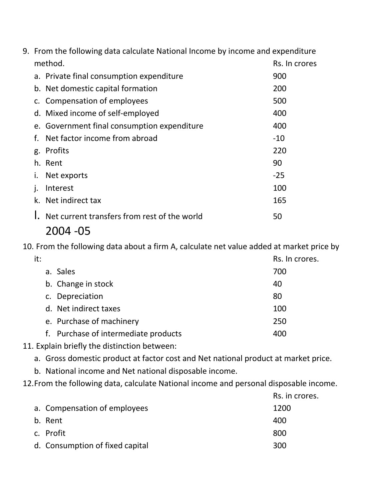| 9. From the following data calculate National Income by income and expenditure |               |
|--------------------------------------------------------------------------------|---------------|
| method.                                                                        | Rs. In crores |
| a. Private final consumption expenditure                                       | 900           |
| b. Net domestic capital formation                                              | 200           |
| c. Compensation of employees                                                   | 500           |
| d. Mixed income of self-employed                                               | 400           |
| e. Government final consumption expenditure                                    | 400           |
| Net factor income from abroad<br>f.                                            | $-10$         |
| g. Profits                                                                     | 220           |
| h. Rent                                                                        | 90            |
| Net exports                                                                    | $-25$         |
| Interest                                                                       | 100           |
| k. Net indirect tax                                                            | 165           |
| Net current transfers from rest of the world                                   | 50            |

10. From the following data about a firm A, calculate net value added at market price by

| it: |                                      | Rs. In crores. |
|-----|--------------------------------------|----------------|
|     | a. Sales                             | 700            |
|     | b. Change in stock                   | 40             |
|     | c. Depreciation                      | 80             |
|     | d. Net indirect taxes                | 100            |
|     | e. Purchase of machinery             | 250            |
|     | f. Purchase of intermediate products | 400            |
|     |                                      |                |

- 11. Explain briefly the distinction between:
	- a. Gross domestic product at factor cost and Net national product at market price.
	- b. National income and Net national disposable income.
- 12.From the following data, calculate National income and personal disposable income.

|                                 | Rs. in crores. |
|---------------------------------|----------------|
| a. Compensation of employees    | 1200           |
| b. Rent                         | 400            |
| c. Profit                       | 800            |
| d. Consumption of fixed capital | 300            |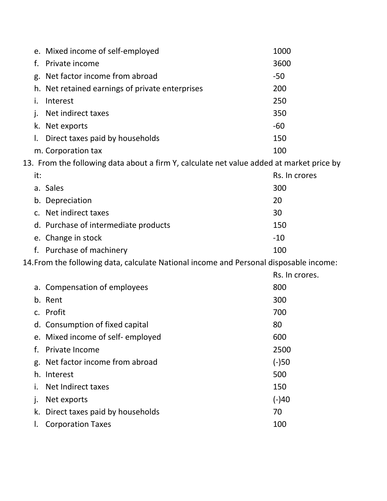|              | e. Mixed income of self-employed                                                         | 1000           |
|--------------|------------------------------------------------------------------------------------------|----------------|
| f.           | Private income                                                                           | 3600           |
|              | g. Net factor income from abroad                                                         | $-50$          |
|              | h. Net retained earnings of private enterprises                                          | 200            |
| i.           | Interest                                                                                 | 250            |
| j.           | Net indirect taxes                                                                       | 350            |
|              | k. Net exports                                                                           | $-60$          |
| I.           | Direct taxes paid by households                                                          | 150            |
|              | m. Corporation tax                                                                       | 100            |
|              | 13. From the following data about a firm Y, calculate net value added at market price by |                |
| it:          |                                                                                          | Rs. In crores  |
|              | a. Sales                                                                                 | 300            |
|              | b. Depreciation                                                                          | 20             |
|              | c. Net indirect taxes                                                                    | 30             |
|              | d. Purchase of intermediate products                                                     | 150            |
|              | e. Change in stock                                                                       | $-10$          |
|              | f. Purchase of machinery                                                                 | 100            |
|              | 14. From the following data, calculate National income and Personal disposable income:   |                |
|              |                                                                                          | Rs. In crores. |
|              | a. Compensation of employees                                                             | 800            |
|              | b. Rent                                                                                  | 300            |
|              | c. Profit                                                                                | 700            |
|              | d. Consumption of fixed capital                                                          | 80             |
|              | e. Mixed income of self-employed                                                         | 600            |
| f.           | Private Income                                                                           | 2500           |
| g.           | Net factor income from abroad                                                            | $(-)50$        |
|              | h. Interest                                                                              | 500            |
|              | Net Indirect taxes                                                                       | 150            |
| $\mathbf{I}$ | Net exports                                                                              | $(-)40$        |
| k.           | Direct taxes paid by households                                                          | 70             |
|              | <b>Corporation Taxes</b>                                                                 | 100            |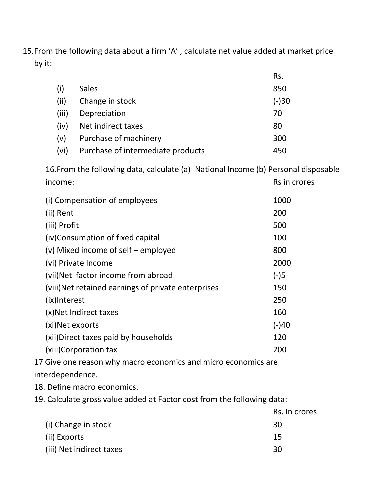15.From the following data about a firm 'A' , calculate net value added at market price by it:

|       |                                   | Rs.     |
|-------|-----------------------------------|---------|
| (i)   | <b>Sales</b>                      | 850     |
| (ii)  | Change in stock                   | $(-)30$ |
| (iii) | Depreciation                      | 70      |
| (iv)  | Net indirect taxes                | 80      |
| (v)   | Purchase of machinery             | 300     |
| (vi)  | Purchase of intermediate products | 450     |

16.From the following data, calculate (a) National Income (b) Personal disposable income: Rs in crores

| (i) Compensation of employees                       | 1000    |
|-----------------------------------------------------|---------|
| (ii) Rent                                           | 200     |
| (iii) Profit                                        | 500     |
| (iv)Consumption of fixed capital                    | 100     |
| (v) Mixed income of self – employed                 | 800     |
| (vi) Private Income                                 | 2000    |
| (vii)Net factor income from abroad                  | $(-)5$  |
| (viii) Net retained earnings of private enterprises | 150     |
| (ix)Interest                                        | 250     |
| (x) Net Indirect taxes                              | 160     |
| (xi) Net exports                                    | $(-)40$ |
| (xii) Direct taxes paid by households               | 120     |
| (xiii) Corporation tax                              | 200     |
|                                                     |         |

17 Give one reason why macro economics and micro economics are interdependence.

18. Define macro economics.

19. Calculate gross value added at Factor cost from the following data:

|                          | Rs. In crores |
|--------------------------|---------------|
| (i) Change in stock      | 30            |
| (ii) Exports             | 15            |
| (iii) Net indirect taxes | 30            |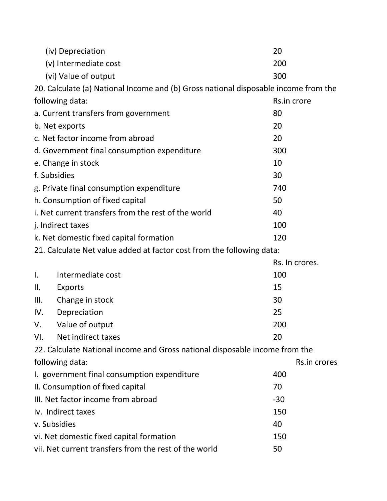|                                                             | (iv) Depreciation                                                                   | 20             |  |
|-------------------------------------------------------------|-------------------------------------------------------------------------------------|----------------|--|
|                                                             | (v) Intermediate cost                                                               | 200            |  |
|                                                             | (vi) Value of output                                                                | 300            |  |
|                                                             | 20. Calculate (a) National Income and (b) Gross national disposable income from the |                |  |
|                                                             | following data:                                                                     | Rs.in crore    |  |
|                                                             | a. Current transfers from government                                                | 80             |  |
|                                                             | b. Net exports                                                                      | 20             |  |
|                                                             | c. Net factor income from abroad                                                    | 20             |  |
|                                                             | d. Government final consumption expenditure                                         | 300            |  |
|                                                             | e. Change in stock                                                                  | 10             |  |
|                                                             | f. Subsidies                                                                        | 30             |  |
|                                                             | g. Private final consumption expenditure                                            | 740            |  |
|                                                             | h. Consumption of fixed capital                                                     | 50             |  |
|                                                             | i. Net current transfers from the rest of the world                                 | 40             |  |
|                                                             | j. Indirect taxes                                                                   | 100            |  |
| k. Net domestic fixed capital formation<br>120              |                                                                                     |                |  |
|                                                             | 21. Calculate Net value added at factor cost from the following data:               |                |  |
|                                                             |                                                                                     | Rs. In crores. |  |
| Ι.                                                          | Intermediate cost                                                                   | 100            |  |
| Ⅱ.                                                          | Exports                                                                             | 15             |  |
| Ш.                                                          | Change in stock                                                                     | 30             |  |
| IV.                                                         | Depreciation                                                                        | 25             |  |
| V.                                                          | Value of output                                                                     | 200            |  |
| VI.                                                         | Net indirect taxes                                                                  | 20             |  |
|                                                             | 22. Calculate National income and Gross national disposable income from the         |                |  |
|                                                             | following data:                                                                     | Rs.in crores   |  |
| 400<br>I. government final consumption expenditure          |                                                                                     |                |  |
| II. Consumption of fixed capital<br>70                      |                                                                                     |                |  |
| III. Net factor income from abroad<br>$-30$                 |                                                                                     |                |  |
| iv. Indirect taxes<br>150                                   |                                                                                     |                |  |
|                                                             | v. Subsidies<br>40                                                                  |                |  |
|                                                             | vi. Net domestic fixed capital formation<br>150                                     |                |  |
| vii. Net current transfers from the rest of the world<br>50 |                                                                                     |                |  |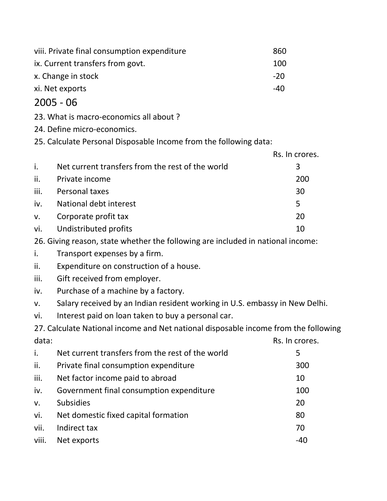| viii. Private final consumption expenditure | 860   |
|---------------------------------------------|-------|
| ix. Current transfers from govt.            | 100   |
| x. Change in stock                          | $-20$ |
| xi. Net exports                             | -40   |

- 23. What is macro-economics all about ?
- 24. Define micro-economics.

25. Calculate Personal Disposable Income from the following data:

|      |                                                  | Rs. In crores. |
|------|--------------------------------------------------|----------------|
| i.   | Net current transfers from the rest of the world | 3              |
| ii.  | Private income                                   | 200            |
| iii. | Personal taxes                                   | 30             |
| iv.  | National debt interest                           | 5              |
| V.   | Corporate profit tax                             | 20             |
|      | vi. Undistributed profits                        | 10             |

26. Giving reason, state whether the following are included in national income:

- i. Transport expenses by a firm.
- ii. Expenditure on construction of a house.
- iii. Gift received from employer.
- iv. Purchase of a machine by a factory.
- v. Salary received by an Indian resident working in U.S. embassy in New Delhi.
- vi. Interest paid on loan taken to buy a personal car.

27. Calculate National income and Net national disposable income from the following data: expression of the contract of the contract of the RS. In crores.

| i.          | Net current transfers from the rest of the world | 5   |
|-------------|--------------------------------------------------|-----|
| ii.         | Private final consumption expenditure            | 300 |
| iii.        | Net factor income paid to abroad                 | 10  |
| iv.         | Government final consumption expenditure         | 100 |
| $V_{\cdot}$ | <b>Subsidies</b>                                 | 20  |
| vi.         | Net domestic fixed capital formation             | 80  |
| vii.        | Indirect tax                                     | 70  |
| viii.       | Net exports                                      | -40 |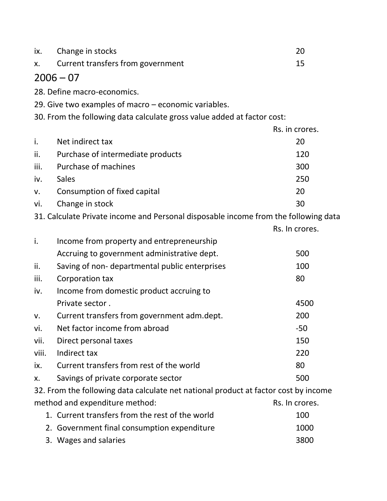| ix.   | Change in stocks                                                                    | 20             |
|-------|-------------------------------------------------------------------------------------|----------------|
| Х.    | Current transfers from government                                                   | 15             |
|       | $2006 - 07$                                                                         |                |
|       | 28. Define macro-economics.                                                         |                |
|       | 29. Give two examples of macro – economic variables.                                |                |
|       | 30. From the following data calculate gross value added at factor cost:             |                |
|       |                                                                                     | Rs. in crores. |
| i.    | Net indirect tax                                                                    | 20             |
| ii.   | Purchase of intermediate products                                                   | 120            |
| iii.  | Purchase of machines                                                                | 300            |
| iv.   | <b>Sales</b>                                                                        | 250            |
| V.    | Consumption of fixed capital                                                        | 20             |
| vi.   | Change in stock                                                                     | 30             |
|       | 31. Calculate Private income and Personal disposable income from the following data |                |
|       |                                                                                     | Rs. In crores. |
| i.    | Income from property and entrepreneurship                                           |                |
|       | Accruing to government administrative dept.                                         | 500            |
| ii.   | Saving of non- departmental public enterprises                                      | 100            |
| iii.  | Corporation tax                                                                     | 80             |
| iv.   | Income from domestic product accruing to                                            |                |
|       | Private sector.                                                                     | 4500           |
| V.    | Current transfers from government adm.dept.                                         | 200            |
| vi.   | Net factor income from abroad                                                       | $-50$          |
| vii.  | Direct personal taxes                                                               | 150            |
| viii. | Indirect tax                                                                        | 220            |
| ix.   | Current transfers from rest of the world                                            | 80             |
| Х.    | Savings of private corporate sector                                                 | 500            |
|       | 32. From the following data calculate net national product at factor cost by income |                |
|       | method and expenditure method:                                                      | Rs. In crores. |
|       | 1. Current transfers from the rest of the world                                     | 100            |
|       | 2. Government final consumption expenditure                                         | 1000           |
|       | 3. Wages and salaries                                                               | 3800           |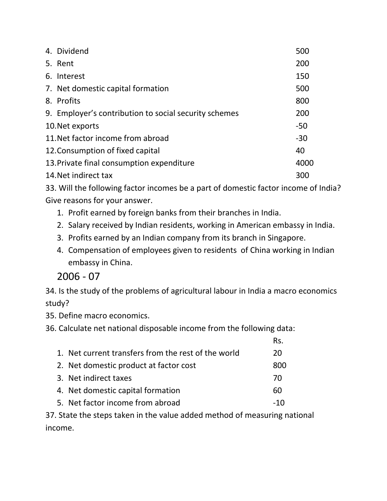| 4. Dividend                                           | 500   |
|-------------------------------------------------------|-------|
| 5. Rent                                               | 200   |
| 6. Interest                                           | 150   |
| 7. Net domestic capital formation                     | 500   |
| 8. Profits                                            | 800   |
| 9. Employer's contribution to social security schemes | 200   |
| 10. Net exports                                       | $-50$ |
| 11. Net factor income from abroad                     | $-30$ |
| 12. Consumption of fixed capital                      | 40    |
| 13. Private final consumption expenditure             | 4000  |
| 14. Net indirect tax                                  | 300   |

33. Will the following factor incomes be a part of domestic factor income of India? Give reasons for your answer.

- 1. Profit earned by foreign banks from their branches in India.
- 2. Salary received by Indian residents, working in American embassy in India.
- 3. Profits earned by an Indian company from its branch in Singapore.
- 4. Compensation of employees given to residents of China working in Indian embassy in China.

2006 - 07

34. Is the study of the problems of agricultural labour in India a macro economics study?

Rs.

35. Define macro economics.

36. Calculate net national disposable income from the following data:

|                                                     | KS. |
|-----------------------------------------------------|-----|
| 1. Net current transfers from the rest of the world | 20  |
| 2. Net domestic product at factor cost              | 800 |
| 3. Net indirect taxes                               | 70  |
| 4. Net domestic capital formation                   | 60  |
| 5. Net factor income from abroad                    | -10 |
|                                                     |     |

37. State the steps taken in the value added method of measuring national income.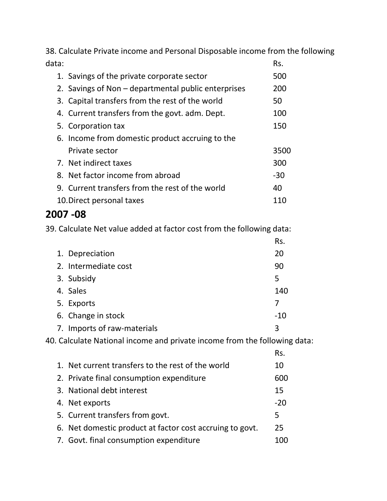38. Calculate Private income and Personal Disposable income from the following data: experimental control of the control of the control of the control of the control of the control of the control of the control of the control of the control of the control of the control of the control of the control

| 1. Savings of the private corporate sector          | 500  |
|-----------------------------------------------------|------|
| 2. Savings of Non – departmental public enterprises | 200  |
| 3. Capital transfers from the rest of the world     | 50   |
| 4. Current transfers from the govt. adm. Dept.      | 100  |
| 5. Corporation tax                                  | 150  |
| 6. Income from domestic product accruing to the     |      |
| Private sector                                      | 3500 |
| 7. Net indirect taxes                               | 300  |
| 8. Net factor income from abroad                    | -30  |
| 9. Current transfers from the rest of the world     | 40   |
| 10. Direct personal taxes                           | 110  |

#### **2007 -08**

39. Calculate Net value added at factor cost from the following data:

|                             | Rs.   |
|-----------------------------|-------|
| 1. Depreciation             | 20    |
| 2. Intermediate cost        | 90    |
| 3. Subsidy                  | 5     |
| 4. Sales                    | 140   |
| 5. Exports                  | 7     |
| 6. Change in stock          | $-10$ |
| 7. Imports of raw-materials | 3     |

40. Calculate National income and private income from the following data:

|                                                          | Rs.   |
|----------------------------------------------------------|-------|
| 1. Net current transfers to the rest of the world        | 10    |
| 2. Private final consumption expenditure                 | 600   |
| 3. National debt interest                                | 15    |
| 4. Net exports                                           | $-20$ |
| 5. Current transfers from govt.                          | 5     |
| 6. Net domestic product at factor cost accruing to govt. | 25    |
| 7. Govt. final consumption expenditure                   | 100   |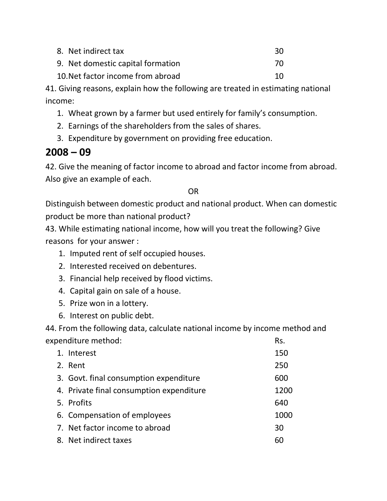| 8. Net indirect tax               | 30 |
|-----------------------------------|----|
| 9. Net domestic capital formation | 70 |
| 10. Net factor income from abroad | 10 |

41. Giving reasons, explain how the following are treated in estimating national income:

- 1. Wheat grown by a farmer but used entirely for family's consumption.
- 2. Earnings of the shareholders from the sales of shares.
- 3. Expenditure by government on providing free education.

## **2008 – 09**

42. Give the meaning of factor income to abroad and factor income from abroad. Also give an example of each.

#### OR

Distinguish between domestic product and national product. When can domestic product be more than national product?

43. While estimating national income, how will you treat the following? Give reasons for your answer :

- 1. Imputed rent of self occupied houses.
- 2. Interested received on debentures.
- 3. Financial help received by flood victims.
- 4. Capital gain on sale of a house.
- 5. Prize won in a lottery.
- 6. Interest on public debt.

44. From the following data, calculate national income by income method and expenditure method: Rs.

| 1. Interest                              | 150  |
|------------------------------------------|------|
| 2. Rent                                  | 250  |
| 3. Govt. final consumption expenditure   | 600  |
| 4. Private final consumption expenditure | 1200 |
| 5. Profits                               | 640  |
| 6. Compensation of employees             | 1000 |
| 7. Net factor income to abroad           | 30   |
| 8. Net indirect taxes                    | 60   |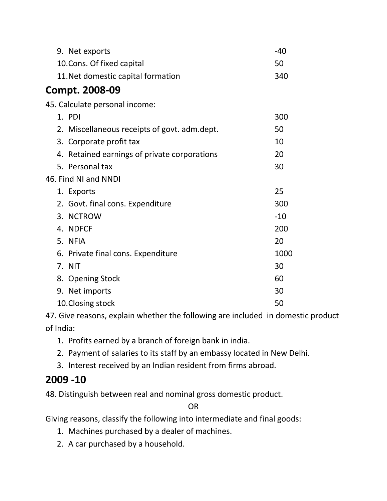| 9. Net exports                               | $-40$ |
|----------------------------------------------|-------|
| 10. Cons. Of fixed capital                   | 50    |
| 11. Net domestic capital formation           | 340   |
| Compt. 2008-09                               |       |
| 45. Calculate personal income:               |       |
| 1. PDI                                       | 300   |
| 2. Miscellaneous receipts of govt. adm.dept. | 50    |
| 3. Corporate profit tax                      | 10    |
| 4. Retained earnings of private corporations | 20    |
| 5. Personal tax                              | 30    |
| 46. Find NI and NNDI                         |       |
| 1. Exports                                   | 25    |
| 2. Govt. final cons. Expenditure             | 300   |
| <b>NCTROW</b><br>3.                          | $-10$ |
| 4. NDFCF                                     | 200   |
| 5. NFIA                                      | 20    |
| 6. Private final cons. Expenditure           | 1000  |
| <b>NIT</b><br>7.                             | 30    |
| 8. Opening Stock                             | 60    |
| 9. Net imports                               | 30    |
| 10. Closing stock                            | 50    |

47. Give reasons, explain whether the following are included in domestic product of India:

- 1. Profits earned by a branch of foreign bank in india.
- 2. Payment of salaries to its staff by an embassy located in New Delhi.
- 3. Interest received by an Indian resident from firms abroad.

## **2009 -10**

48. Distinguish between real and nominal gross domestic product.

OR

Giving reasons, classify the following into intermediate and final goods:

- 1. Machines purchased by a dealer of machines.
- 2. A car purchased by a household.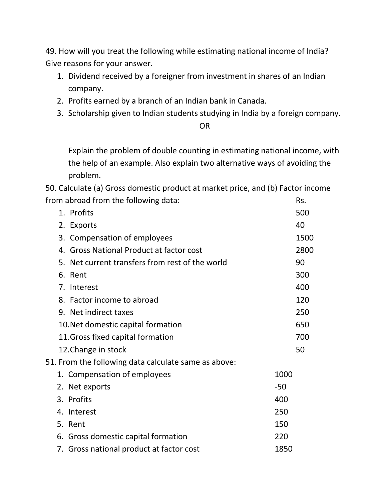49. How will you treat the following while estimating national income of India? Give reasons for your answer.

- 1. Dividend received by a foreigner from investment in shares of an Indian company.
- 2. Profits earned by a branch of an Indian bank in Canada.
- 3. Scholarship given to Indian students studying in India by a foreign company.

OR

Explain the problem of double counting in estimating national income, with the help of an example. Also explain two alternative ways of avoiding the problem.

50. Calculate (a) Gross domestic product at market price, and (b) Factor income from abroad from the following data: Rs.

| 1. Profits                                           | 500   |
|------------------------------------------------------|-------|
| 2. Exports                                           | 40    |
| 3. Compensation of employees                         | 1500  |
| 4. Gross National Product at factor cost             | 2800  |
| Net current transfers from rest of the world<br>5.   | 90    |
| 6.<br>Rent                                           | 300   |
| 7. Interest                                          | 400   |
| 8. Factor income to abroad                           | 120   |
| 9. Net indirect taxes                                | 250   |
| 10. Net domestic capital formation                   | 650   |
| 11. Gross fixed capital formation                    | 700   |
| 12. Change in stock                                  | 50    |
| 51. From the following data calculate same as above: |       |
| 1. Compensation of employees                         | 1000  |
| 2. Net exports                                       | $-50$ |
| 3. Profits                                           | 400   |
| 4. Interest                                          | 250   |
| 5. Rent                                              | 150   |
| 6. Gross domestic capital formation                  | 220   |
| 7. Gross national product at factor cost             | 1850  |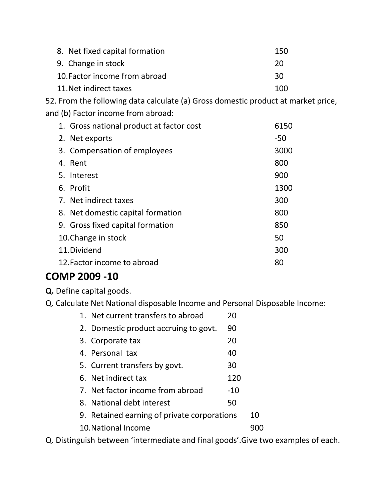| 8. Net fixed capital formation | 150 |
|--------------------------------|-----|
| 9. Change in stock             | 20  |
| 10. Factor income from abroad  | 30  |
| 11. Net indirect taxes         | 100 |

52. From the following data calculate (a) Gross domestic product at market price, and (b) Factor income from abroad:

| 1. Gross national product at factor cost | 6150  |
|------------------------------------------|-------|
| 2. Net exports                           | $-50$ |
| 3. Compensation of employees             | 3000  |
| 4. Rent                                  | 800   |
| 5. Interest                              | 900   |
| 6. Profit                                | 1300  |
| 7. Net indirect taxes                    | 300   |
| 8. Net domestic capital formation        | 800   |
| 9. Gross fixed capital formation         | 850   |
| 10. Change in stock                      | 50    |
| 11. Dividend                             | 300   |
| 12. Factor income to abroad              | 80    |

### **COMP 2009 -10**

**Q.** Define capital goods.

Q. Calculate Net National disposable Income and Personal Disposable Income:

| 1. Net current transfers to abroad          | 20    |    |
|---------------------------------------------|-------|----|
| 2. Domestic product accruing to govt.       | 90    |    |
| 3. Corporate tax                            | 20    |    |
| 4. Personal tax                             | 40    |    |
| 5. Current transfers by govt.               | 30    |    |
| 6. Net indirect tax                         | 120   |    |
| 7. Net factor income from abroad            | $-10$ |    |
| 8. National debt interest                   | 50    |    |
| 9. Retained earning of private corporations |       | 10 |
| 10. National Income                         |       |    |
|                                             |       |    |

Q. Distinguish between 'intermediate and final goods'.Give two examples of each.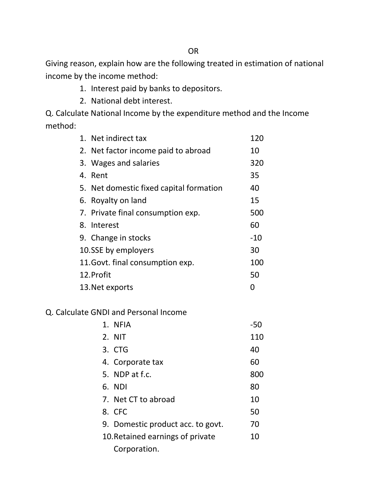Giving reason, explain how are the following treated in estimation of national income by the income method:

- 1. Interest paid by banks to depositors.
- 2. National debt interest.

Q. Calculate National Income by the expenditure method and the Income method:

| 1. Net indirect tax                     | 120   |
|-----------------------------------------|-------|
| 2. Net factor income paid to abroad     | 10    |
| 3. Wages and salaries                   | 320   |
| 4. Rent                                 | 35    |
| 5. Net domestic fixed capital formation | 40    |
| 6. Royalty on land                      | 15    |
| 7. Private final consumption exp.       | 500   |
| 8. Interest                             | 60    |
| 9. Change in stocks                     | $-10$ |
| 10.SSE by employers                     | 30    |
| 11. Govt. final consumption exp.        | 100   |
| 12. Profit                              | 50    |
| 13. Net exports                         | O     |
|                                         |       |

#### Q. Calculate GNDI and Personal Income

| 1. NFIA                           | $-50$ |
|-----------------------------------|-------|
| 2. NIT                            | 110   |
| 3. CTG                            | 40    |
| 4. Corporate tax                  | 60    |
| 5. NDP at f.c.                    | 800   |
| 6. NDI                            | 80    |
| 7. Net CT to abroad               | 10    |
| 8. CFC                            | 50    |
| 9. Domestic product acc. to govt. | 70    |
| 10. Retained earnings of private  | 10    |
| Corporation.                      |       |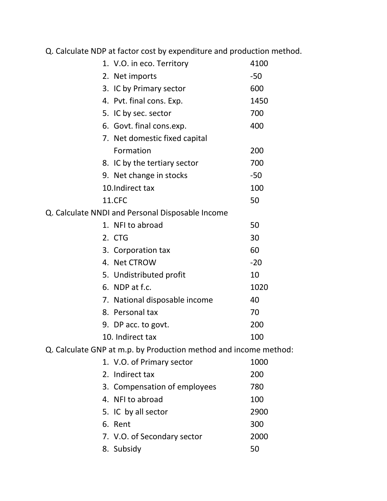Q. Calculate NDP at factor cost by expenditure and production method.

|  | 1. V.O. in eco. Territory                                        | 4100  |
|--|------------------------------------------------------------------|-------|
|  | 2. Net imports                                                   | $-50$ |
|  | 3. IC by Primary sector                                          | 600   |
|  | 4. Pvt. final cons. Exp.                                         | 1450  |
|  | 5. IC by sec. sector                                             | 700   |
|  | 6. Govt. final cons.exp.                                         | 400   |
|  | 7. Net domestic fixed capital                                    |       |
|  | Formation                                                        | 200   |
|  | 8. IC by the tertiary sector                                     | 700   |
|  | 9. Net change in stocks                                          | $-50$ |
|  | 10. Indirect tax                                                 | 100   |
|  | 11.CFC                                                           | 50    |
|  | Q. Calculate NNDI and Personal Disposable Income                 |       |
|  | 1. NFI to abroad                                                 | 50    |
|  | 2. CTG                                                           | 30    |
|  | 3. Corporation tax                                               | 60    |
|  | 4. Net CTROW                                                     | $-20$ |
|  | 5. Undistributed profit                                          | 10    |
|  | 6. NDP at f.c.                                                   | 1020  |
|  | 7. National disposable income                                    | 40    |
|  | 8. Personal tax                                                  | 70    |
|  | 9. DP acc. to govt.                                              | 200   |
|  | 10. Indirect tax                                                 | 100   |
|  | Q. Calculate GNP at m.p. by Production method and income method: |       |
|  | 1. V.O. of Primary sector                                        | 1000  |
|  | 2. Indirect tax                                                  | 200   |
|  | 3. Compensation of employees                                     | 780   |
|  | 4. NFI to abroad                                                 | 100   |
|  | 5. IC by all sector                                              | 2900  |
|  | 6. Rent                                                          | 300   |
|  | 7. V.O. of Secondary sector                                      | 2000  |
|  | 8. Subsidy                                                       | 50    |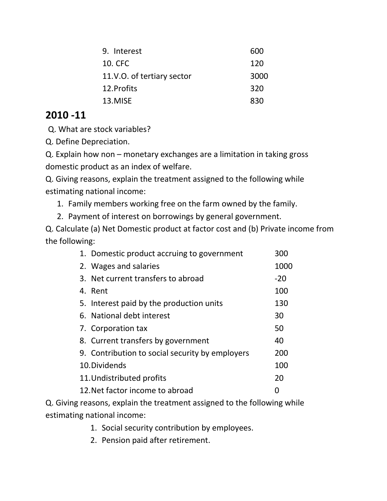| 9. Interest                | 600  |
|----------------------------|------|
| 10. CFC                    | 120  |
| 11.V.O. of tertiary sector | 3000 |
| 12. Profits                | 320  |
| 13.MISE                    | 830  |
|                            |      |

Q. What are stock variables?

Q. Define Depreciation.

Q. Explain how non – monetary exchanges are a limitation in taking gross domestic product as an index of welfare.

Q. Giving reasons, explain the treatment assigned to the following while estimating national income:

1. Family members working free on the farm owned by the family.

2. Payment of interest on borrowings by general government.

Q. Calculate (a) Net Domestic product at factor cost and (b) Private income from the following:

| 1. Domestic product accruing to government      | 300   |
|-------------------------------------------------|-------|
| 2. Wages and salaries                           | 1000  |
| 3. Net current transfers to abroad              | $-20$ |
| 4. Rent                                         | 100   |
| 5. Interest paid by the production units        | 130   |
| 6. National debt interest                       | 30    |
| 7. Corporation tax                              | 50    |
| 8. Current transfers by government              | 40    |
| 9. Contribution to social security by employers | 200   |
| 10. Dividends                                   | 100   |
| 11. Undistributed profits                       | 20    |
| 12. Net factor income to abroad                 | O     |

Q. Giving reasons, explain the treatment assigned to the following while estimating national income:

- 1. Social security contribution by employees.
- 2. Pension paid after retirement.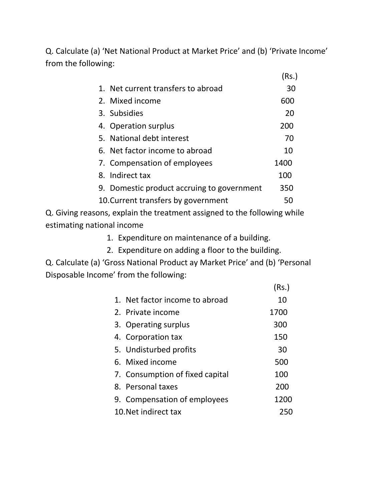Q. Calculate (a) 'Net National Product at Market Price' and (b) 'Private Income' from the following:

|                                            | (Rs.) |
|--------------------------------------------|-------|
| 1. Net current transfers to abroad         | 30    |
| 2. Mixed income                            | 600   |
| 3. Subsidies                               | 20    |
| 4. Operation surplus                       | 200   |
| 5. National debt interest                  | 70    |
| 6. Net factor income to abroad             | 10    |
| 7. Compensation of employees               | 1400  |
| 8. Indirect tax                            | 100   |
| 9. Domestic product accruing to government | 350   |
| 10. Current transfers by government        | 50    |
|                                            |       |

Q. Giving reasons, explain the treatment assigned to the following while estimating national income

- 1. Expenditure on maintenance of a building.
- 2. Expenditure on adding a floor to the building.

Q. Calculate (a) 'Gross National Product ay Market Price' and (b) 'Personal Disposable Income' from the following:

|                                 | (Rs.) |
|---------------------------------|-------|
| 1. Net factor income to abroad  | 10    |
| 2. Private income               | 1700  |
| 3. Operating surplus            | 300   |
| 4. Corporation tax              | 150   |
| 5. Undisturbed profits          | 30    |
| 6. Mixed income                 | 500   |
| 7. Consumption of fixed capital | 100   |
| 8. Personal taxes               | 200   |
| 9. Compensation of employees    | 1200  |
| 10. Net indirect tax            | 250   |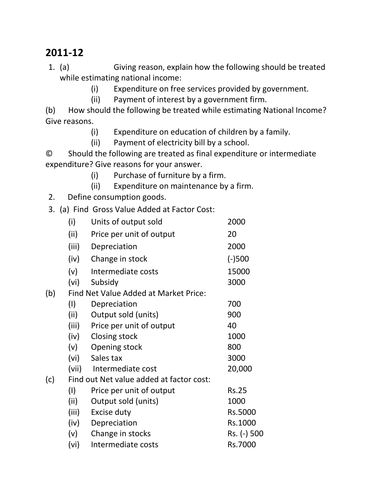- 1. (a) Giving reason, explain how the following should be treated while estimating national income:
	- (i) Expenditure on free services provided by government.
	- (ii) Payment of interest by a government firm.

(b) How should the following be treated while estimating National Income? Give reasons.

- (i) Expenditure on education of children by a family.
- (ii) Payment of electricity bill by a school.

© Should the following are treated as final expenditure or intermediate expenditure? Give reasons for your answer.

- (i) Purchase of furniture by a firm.
- (ii) Expenditure on maintenance by a firm.
- 2. Define consumption goods.

3. (a) Find Gross Value Added at Factor Cost:

|     | (i)   | Units of output sold                     | 2000         |
|-----|-------|------------------------------------------|--------------|
|     | (ii)  | Price per unit of output                 | 20           |
|     | (iii) | Depreciation                             | 2000         |
|     | (iv)  | Change in stock                          | $(-)500$     |
|     | (v)   | Intermediate costs                       | 15000        |
|     | (vi)  | Subsidy                                  | 3000         |
| (b) |       | Find Net Value Added at Market Price:    |              |
|     | (1)   | Depreciation                             | 700          |
|     | (ii)  | Output sold (units)                      | 900          |
|     | (iii) | Price per unit of output                 | 40           |
|     | (iv)  | Closing stock                            | 1000         |
|     | (v)   | Opening stock                            | 800          |
|     | (vi)  | Sales tax                                | 3000         |
|     | (vii) | Intermediate cost                        | 20,000       |
| (c) |       | Find out Net value added at factor cost: |              |
|     | (1)   | Price per unit of output                 | <b>Rs.25</b> |
|     | (ii)  | Output sold (units)                      | 1000         |
|     | (iii) | Excise duty                              | Rs.5000      |
|     | (iv)  | Depreciation                             | Rs.1000      |
|     | (v)   | Change in stocks                         | Rs. (-) 500  |
|     | (vi)  | Intermediate costs                       | Rs.7000      |
|     |       |                                          |              |